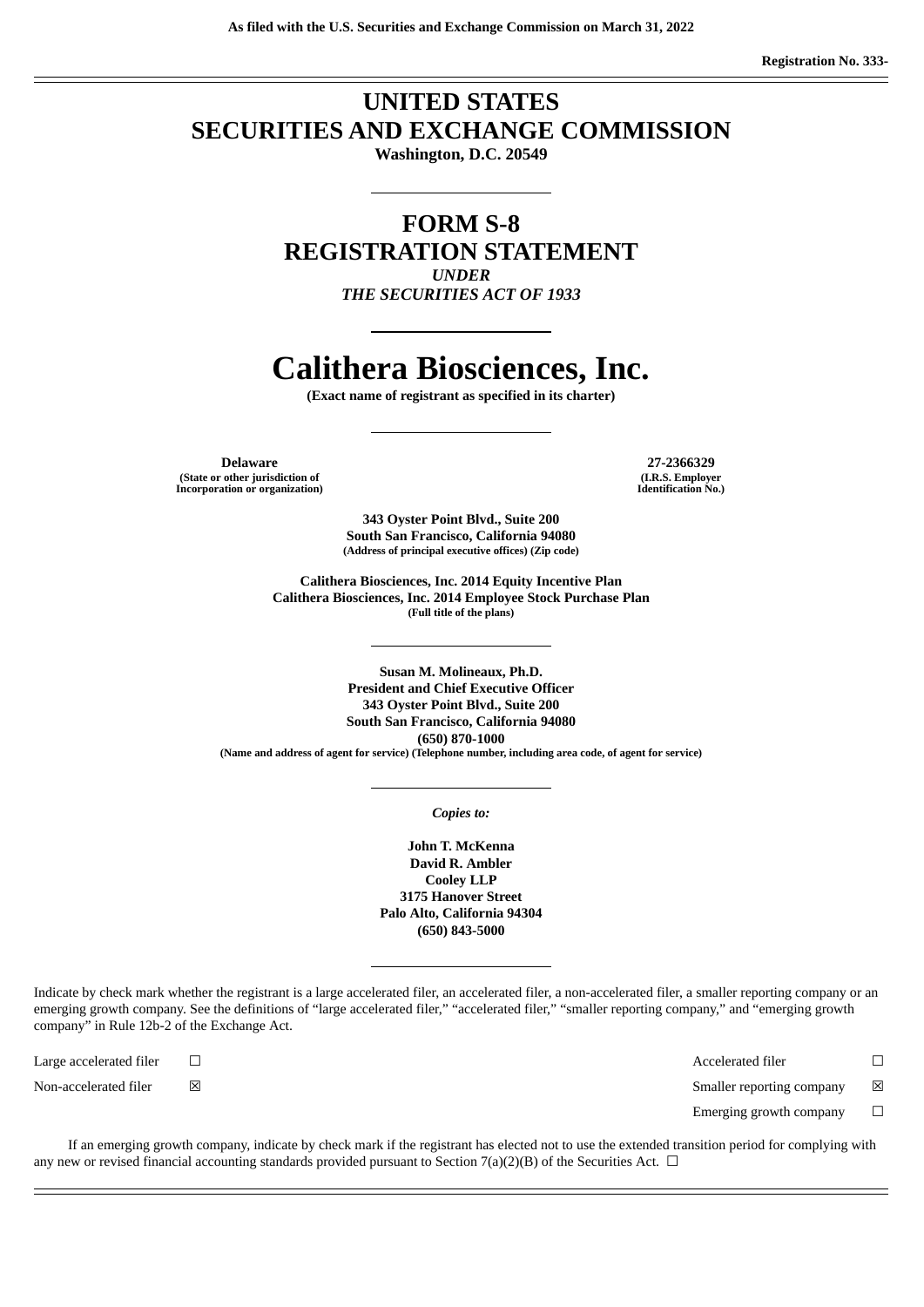# **UNITED STATES SECURITIES AND EXCHANGE COMMISSION**

**Washington, D.C. 20549**

**FORM S-8 REGISTRATION STATEMENT** *UNDER THE SECURITIES ACT OF 1933*

# **Calithera Biosciences, Inc.**

**(Exact name of registrant as specified in its charter)**

**Delaware 27-2366329 (State or other jurisdiction of Incorporation or organization)**

**(I.R.S. Employer Identification No.)**

**343 Oyster Point Blvd., Suite 200 South San Francisco, California 94080 (Address of principal executive offices) (Zip code)**

**Calithera Biosciences, Inc. 2014 Equity Incentive Plan Calithera Biosciences, Inc. 2014 Employee Stock Purchase Plan (Full title of the plans)**

**Susan M. Molineaux, Ph.D. President and Chief Executive Officer 343 Oyster Point Blvd., Suite 200 South San Francisco, California 94080 (650) 870-1000 (Name and address of agent for service) (Telephone number, including area code, of agent for service)**

*Copies to:*

**John T. McKenna David R. Ambler Cooley LLP 3175 Hanover Street Palo Alto, California 94304 (650) 843-5000**

Indicate by check mark whether the registrant is a large accelerated filer, an accelerated filer, a non-accelerated filer, a smaller reporting company or an emerging growth company. See the definitions of "large accelerated filer," "accelerated filer," "smaller reporting company," and "emerging growth company" in Rule 12b-2 of the Exchange Act.

Large accelerated filer ☐ Accelerated filer ☐ Non-accelerated filer  $□$  ⊠ smaller reporting company  $□$  Smaller reporting company  $□$ 

Emerging growth company  $\Box$ 

If an emerging growth company, indicate by check mark if the registrant has elected not to use the extended transition period for complying with any new or revised financial accounting standards provided pursuant to Section 7(a)(2)(B) of the Securities Act.  $\Box$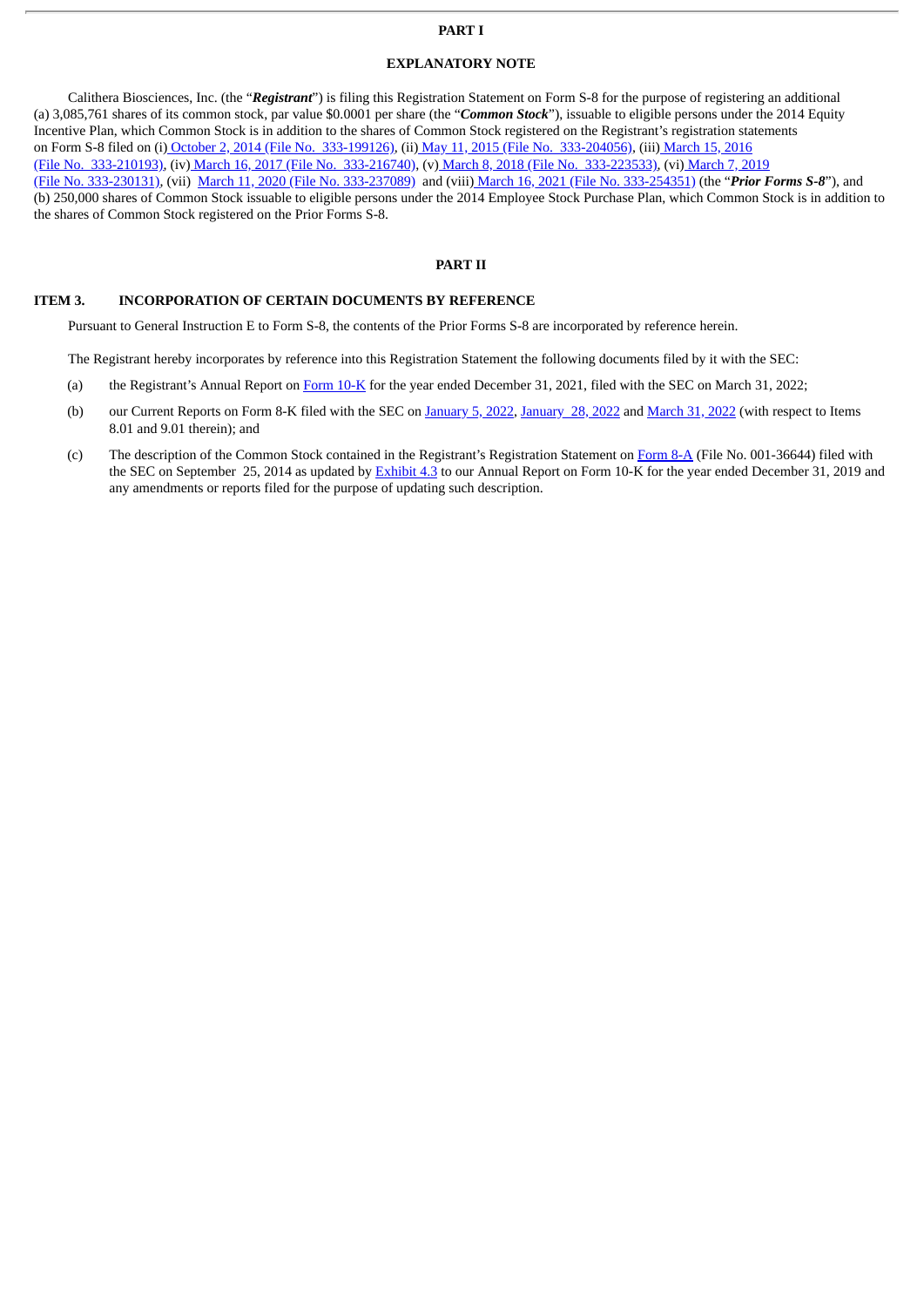## **PART I**

## **EXPLANATORY NOTE**

Calithera Biosciences, Inc. (the "*Registrant*") is filing this Registration Statement on Form S-8 for the purpose of registering an additional (a) 3,085,761 shares of its common stock, par value \$0.0001 per share (the "*Common Stock*"), issuable to eligible persons under the 2014 Equity Incentive Plan, which Common Stock is in addition to the shares of Common Stock registered on the Registrant's registration statements on Form S-8 filed on (i) October 2, 2014 (File No. [333-199126\)](http://www.sec.gov/Archives/edgar/data/1496671/000119312514362229/d798454ds8.htm), (ii) May 11, 2015 (File No. [333-204056\)](http://www.sec.gov/Archives/edgar/data/0001496671/000119312515181948/d923110ds8.htm), (iii) March 15, 2016 (File No. 333-210193), (iv) March 16, 2017 (File No. [333-216740\),](http://www.sec.gov/Archives/edgar/data/0001496671/000119312517085409/d535256ds8.htm) (v) March 8, 2018 (File No. [333-223533\),](http://www.sec.gov/Archives/edgar/data/0001496671/000119312516504443/d159165ds8.htm) (vi) March 7, 2019 (File No. 333-230131), (vii) March 11, 2020 (File No. [333-237089\)](http://www.sec.gov/Archives/edgar/data/1496671/000119312520070405/d831433d8k.htm) and (viii) March 16, 2021 (File No. [333-254351\)](http://www.sec.gov/Archives/edgar/data/1496671/000119312521082911/d129784ds8.htm) (the "*Prior Forms S-8*"), and (b) 250,000 shares of Common Stock issuable to eligible persons under the 2014 Employee Stock Purchase Plan, which Common Stock is in addition to the shares of Common Stock registered on the Prior Forms S-8.

## **PART II**

#### **ITEM 3. INCORPORATION OF CERTAIN DOCUMENTS BY REFERENCE**

Pursuant to General Instruction E to Form S-8, the contents of the Prior Forms S-8 are incorporated by reference herein.

The Registrant hereby incorporates by reference into this Registration Statement the following documents filed by it with the SEC:

- (a) the Registrant's Annual Report on [Form](http://www.sec.gov/ix?doc=/Archives/edgar/data/1496671/000095017022005227/cala-20211231.htm) 10-K for the year ended December 31, 2021, filed with the SEC on March 31, 2022;
- (b) our Current Reports on Form 8-K filed with the SEC on [January](http://www.sec.gov/Archives/edgar/data/0001496671/000119312522021581/d283971d8k.htm) 5, 2022, January 28, 2022 and [March](http://www.sec.gov/ix?doc=/Archives/edgar/data/1496671/000119312522091762/d340920d8k.htm) 31, 2022 (with respect to Items 8.01 and 9.01 therein); and
- (c) The description of the Common Stock contained in the Registrant's Registration Statement on [Form](http://www.sec.gov/Archives/edgar/data/0001496671/000119312514353302/d794789d8a12b.htm) 8-A (File No. 001-36644) filed with the SEC on September 25, 2014 as updated by [Exhibit](http://www.sec.gov/Archives/edgar/data/1496671/000156459020010058/cala-ex43_373.htm) 4.3 to our Annual Report on Form 10-K for the year ended December 31, 2019 and any amendments or reports filed for the purpose of updating such description.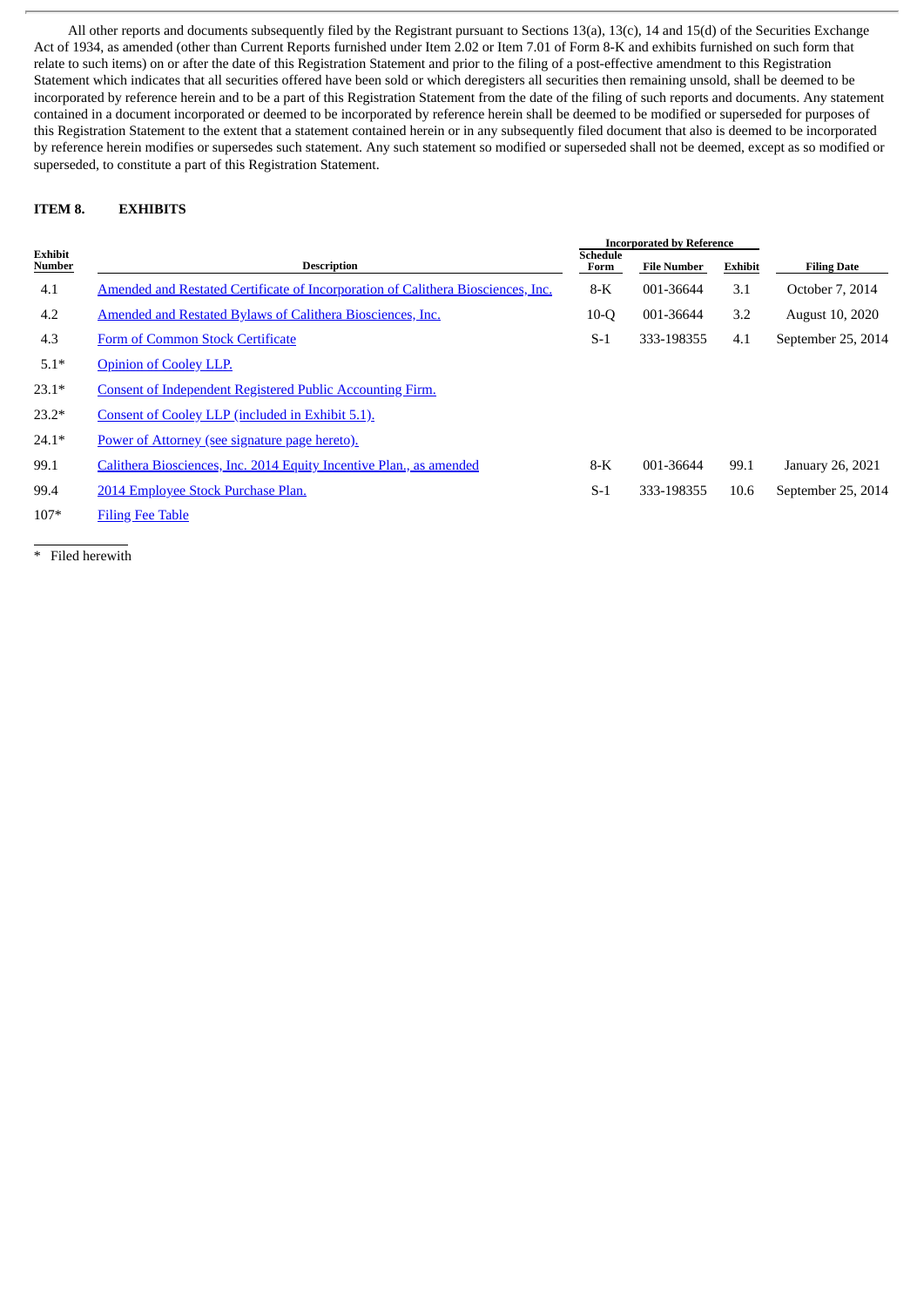All other reports and documents subsequently filed by the Registrant pursuant to Sections 13(a), 13(c), 14 and 15(d) of the Securities Exchange Act of 1934, as amended (other than Current Reports furnished under Item 2.02 or Item 7.01 of Form 8-K and exhibits furnished on such form that relate to such items) on or after the date of this Registration Statement and prior to the filing of a post-effective amendment to this Registration Statement which indicates that all securities offered have been sold or which deregisters all securities then remaining unsold, shall be deemed to be incorporated by reference herein and to be a part of this Registration Statement from the date of the filing of such reports and documents. Any statement contained in a document incorporated or deemed to be incorporated by reference herein shall be deemed to be modified or superseded for purposes of this Registration Statement to the extent that a statement contained herein or in any subsequently filed document that also is deemed to be incorporated by reference herein modifies or supersedes such statement. Any such statement so modified or superseded shall not be deemed, except as so modified or superseded, to constitute a part of this Registration Statement.

# **ITEM 8. EXHIBITS**

|                   |                                                                                  |                         | <b>Incorporated by Reference</b> |         |                        |
|-------------------|----------------------------------------------------------------------------------|-------------------------|----------------------------------|---------|------------------------|
| Exhibit<br>Number | <b>Description</b>                                                               | <b>Schedule</b><br>Form | <b>File Number</b>               | Exhibit | <b>Filing Date</b>     |
| 4.1               | Amended and Restated Certificate of Incorporation of Calithera Biosciences, Inc. | $8-K$                   | 001-36644                        | 3.1     | October 7, 2014        |
| 4.2               | Amended and Restated Bylaws of Calithera Biosciences, Inc.                       | $10-O$                  | 001-36644                        | 3.2     | <b>August 10, 2020</b> |
| 4.3               | Form of Common Stock Certificate                                                 | $S-1$                   | 333-198355                       | 4.1     | September 25, 2014     |
| $5.1*$            | <b>Opinion of Cooley LLP.</b>                                                    |                         |                                  |         |                        |
| $23.1*$           | <b>Consent of Independent Registered Public Accounting Firm.</b>                 |                         |                                  |         |                        |
| $23.2*$           | Consent of Cooley LLP (included in Exhibit 5.1).                                 |                         |                                  |         |                        |
| $24.1*$           | Power of Attorney (see signature page hereto).                                   |                         |                                  |         |                        |
| 99.1              | Calithera Biosciences, Inc. 2014 Equity Incentive Plan., as amended              | $8-K$                   | 001-36644                        | 99.1    | January 26, 2021       |
| 99.4              | 2014 Employee Stock Purchase Plan.                                               | $S-1$                   | 333-198355                       | 10.6    | September 25, 2014     |
| $107*$            | <b>Filing Fee Table</b>                                                          |                         |                                  |         |                        |

\* Filed herewith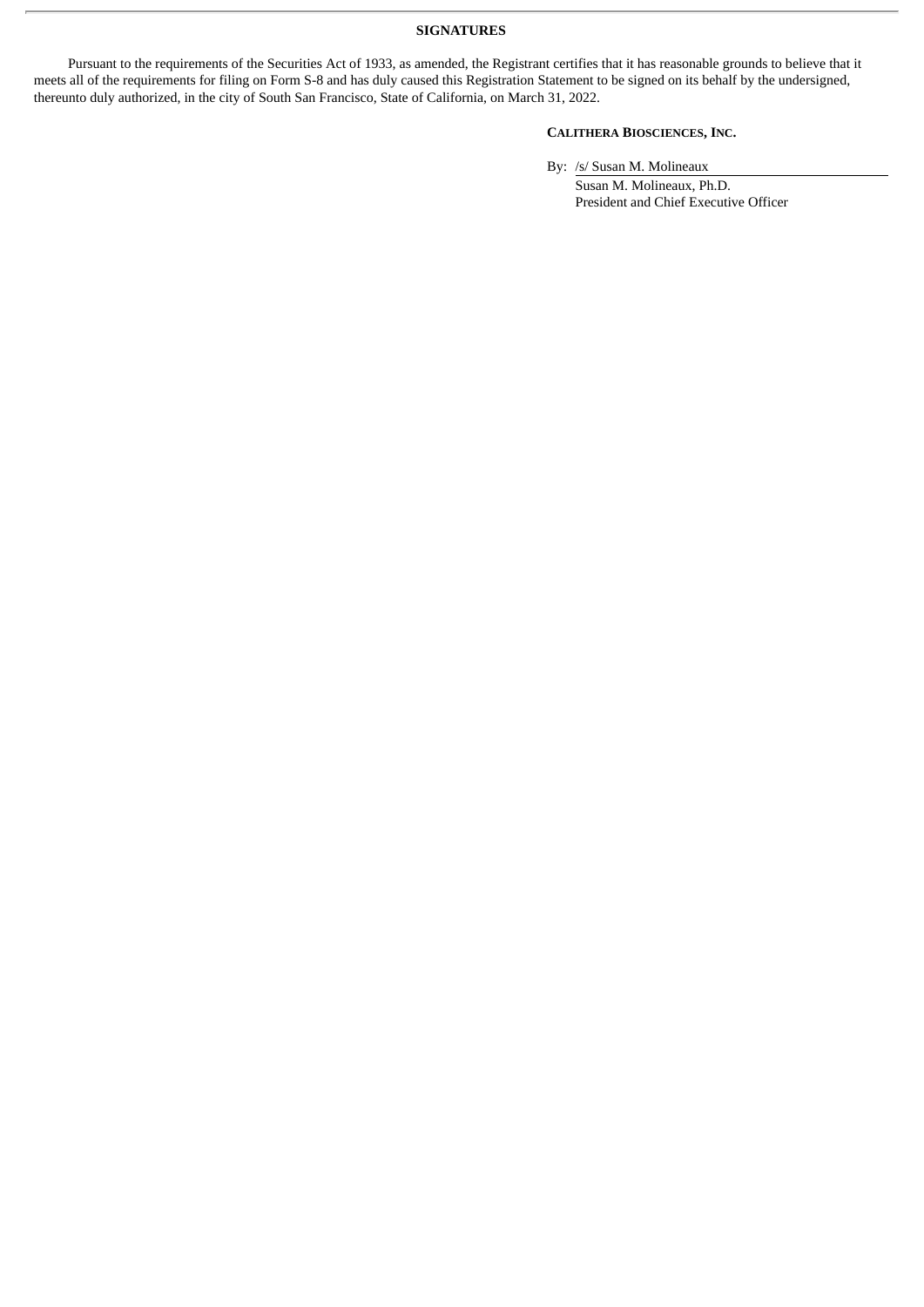## **SIGNATURES**

Pursuant to the requirements of the Securities Act of 1933, as amended, the Registrant certifies that it has reasonable grounds to believe that it meets all of the requirements for filing on Form S-8 and has duly caused this Registration Statement to be signed on its behalf by the undersigned, thereunto duly authorized, in the city of South San Francisco, State of California, on March 31, 2022.

# **CALITHERA BIOSCIENCES, INC.**

By: /s/ Susan M. Molineaux

Susan M. Molineaux, Ph.D. President and Chief Executive Officer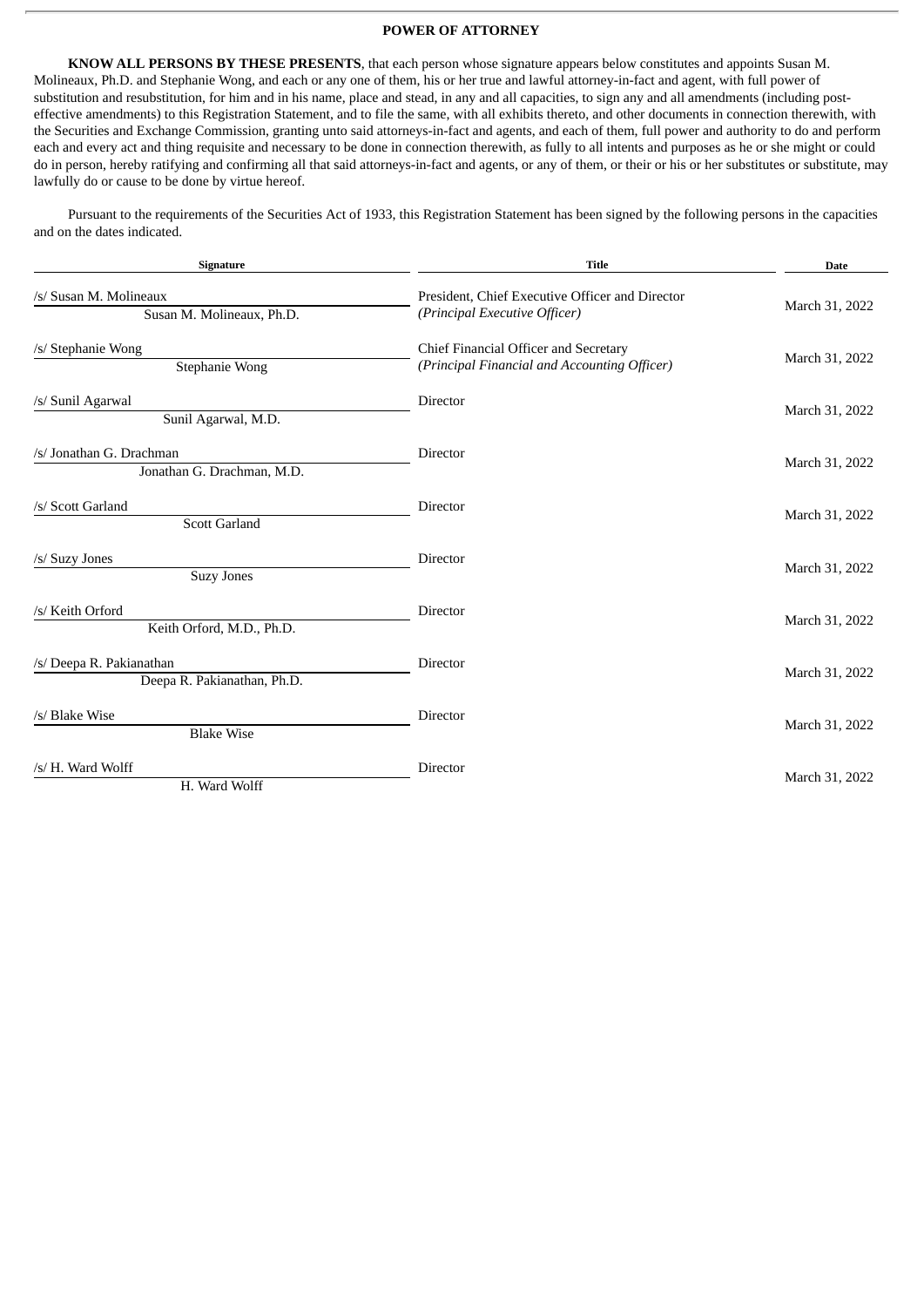## **POWER OF ATTORNEY**

<span id="page-4-0"></span>**KNOW ALL PERSONS BY THESE PRESENTS**, that each person whose signature appears below constitutes and appoints Susan M. Molineaux, Ph.D. and Stephanie Wong, and each or any one of them, his or her true and lawful attorney-in-fact and agent, with full power of substitution and resubstitution, for him and in his name, place and stead, in any and all capacities, to sign any and all amendments (including posteffective amendments) to this Registration Statement, and to file the same, with all exhibits thereto, and other documents in connection therewith, with the Securities and Exchange Commission, granting unto said attorneys-in-fact and agents, and each of them, full power and authority to do and perform each and every act and thing requisite and necessary to be done in connection therewith, as fully to all intents and purposes as he or she might or could do in person, hereby ratifying and confirming all that said attorneys-in-fact and agents, or any of them, or their or his or her substitutes or substitute, may lawfully do or cause to be done by virtue hereof.

Pursuant to the requirements of the Securities Act of 1933, this Registration Statement has been signed by the following persons in the capacities and on the dates indicated.

| Signature                                               | <b>Title</b>                                                                          | <b>Date</b>    |  |  |
|---------------------------------------------------------|---------------------------------------------------------------------------------------|----------------|--|--|
| /s/ Susan M. Molineaux<br>Susan M. Molineaux, Ph.D.     | President, Chief Executive Officer and Director<br>(Principal Executive Officer)      | March 31, 2022 |  |  |
| /s/ Stephanie Wong<br>Stephanie Wong                    | Chief Financial Officer and Secretary<br>(Principal Financial and Accounting Officer) | March 31, 2022 |  |  |
| /s/ Sunil Agarwal<br>Sunil Agarwal, M.D.                | <b>Director</b>                                                                       | March 31, 2022 |  |  |
| /s/ Jonathan G. Drachman<br>Jonathan G. Drachman, M.D.  | <b>Director</b>                                                                       | March 31, 2022 |  |  |
| /s/ Scott Garland<br><b>Scott Garland</b>               | Director                                                                              | March 31, 2022 |  |  |
| /s/ Suzy Jones<br><b>Suzy Jones</b>                     | <b>Director</b>                                                                       | March 31, 2022 |  |  |
| /s/ Keith Orford<br>Keith Orford, M.D., Ph.D.           | <b>Director</b>                                                                       | March 31, 2022 |  |  |
| /s/ Deepa R. Pakianathan<br>Deepa R. Pakianathan, Ph.D. | Director                                                                              | March 31, 2022 |  |  |
| /s/ Blake Wise<br><b>Blake Wise</b>                     | <b>Director</b>                                                                       | March 31, 2022 |  |  |
| /s/ H. Ward Wolff<br>H. Ward Wolff                      | Director                                                                              | March 31, 2022 |  |  |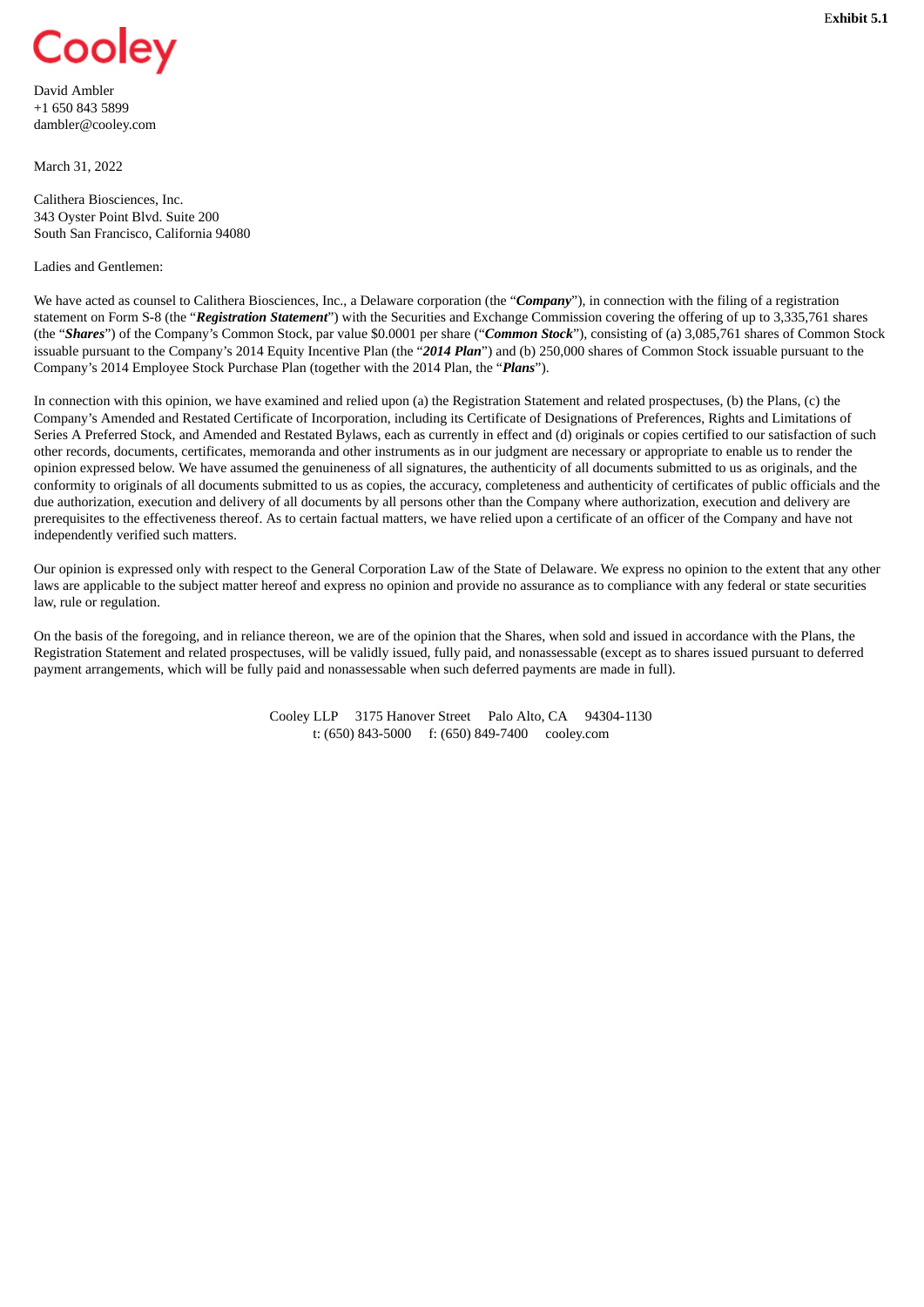<span id="page-5-0"></span>

David Ambler +1 650 843 5899 dambler@cooley.com

March 31, 2022

Calithera Biosciences, Inc. 343 Oyster Point Blvd. Suite 200 South San Francisco, California 94080

## Ladies and Gentlemen:

We have acted as counsel to Calithera Biosciences, Inc., a Delaware corporation (the "*Company*"), in connection with the filing of a registration statement on Form S-8 (the "*Registration Statement*") with the Securities and Exchange Commission covering the offering of up to 3,335,761 shares (the "*Shares*") of the Company's Common Stock, par value \$0.0001 per share ("*Common Stock*"), consisting of (a) 3,085,761 shares of Common Stock issuable pursuant to the Company's 2014 Equity Incentive Plan (the "*2014 Plan*") and (b) 250,000 shares of Common Stock issuable pursuant to the Company's 2014 Employee Stock Purchase Plan (together with the 2014 Plan, the "*Plans*").

In connection with this opinion, we have examined and relied upon (a) the Registration Statement and related prospectuses, (b) the Plans, (c) the Company's Amended and Restated Certificate of Incorporation, including its Certificate of Designations of Preferences, Rights and Limitations of Series A Preferred Stock, and Amended and Restated Bylaws, each as currently in effect and (d) originals or copies certified to our satisfaction of such other records, documents, certificates, memoranda and other instruments as in our judgment are necessary or appropriate to enable us to render the opinion expressed below. We have assumed the genuineness of all signatures, the authenticity of all documents submitted to us as originals, and the conformity to originals of all documents submitted to us as copies, the accuracy, completeness and authenticity of certificates of public officials and the due authorization, execution and delivery of all documents by all persons other than the Company where authorization, execution and delivery are prerequisites to the effectiveness thereof. As to certain factual matters, we have relied upon a certificate of an officer of the Company and have not independently verified such matters.

Our opinion is expressed only with respect to the General Corporation Law of the State of Delaware. We express no opinion to the extent that any other laws are applicable to the subject matter hereof and express no opinion and provide no assurance as to compliance with any federal or state securities law, rule or regulation.

On the basis of the foregoing, and in reliance thereon, we are of the opinion that the Shares, when sold and issued in accordance with the Plans, the Registration Statement and related prospectuses, will be validly issued, fully paid, and nonassessable (except as to shares issued pursuant to deferred payment arrangements, which will be fully paid and nonassessable when such deferred payments are made in full).

> Cooley LLP 3175 Hanover Street Palo Alto, CA 94304-1130 t: (650) 843-5000 f: (650) 849-7400 cooley.com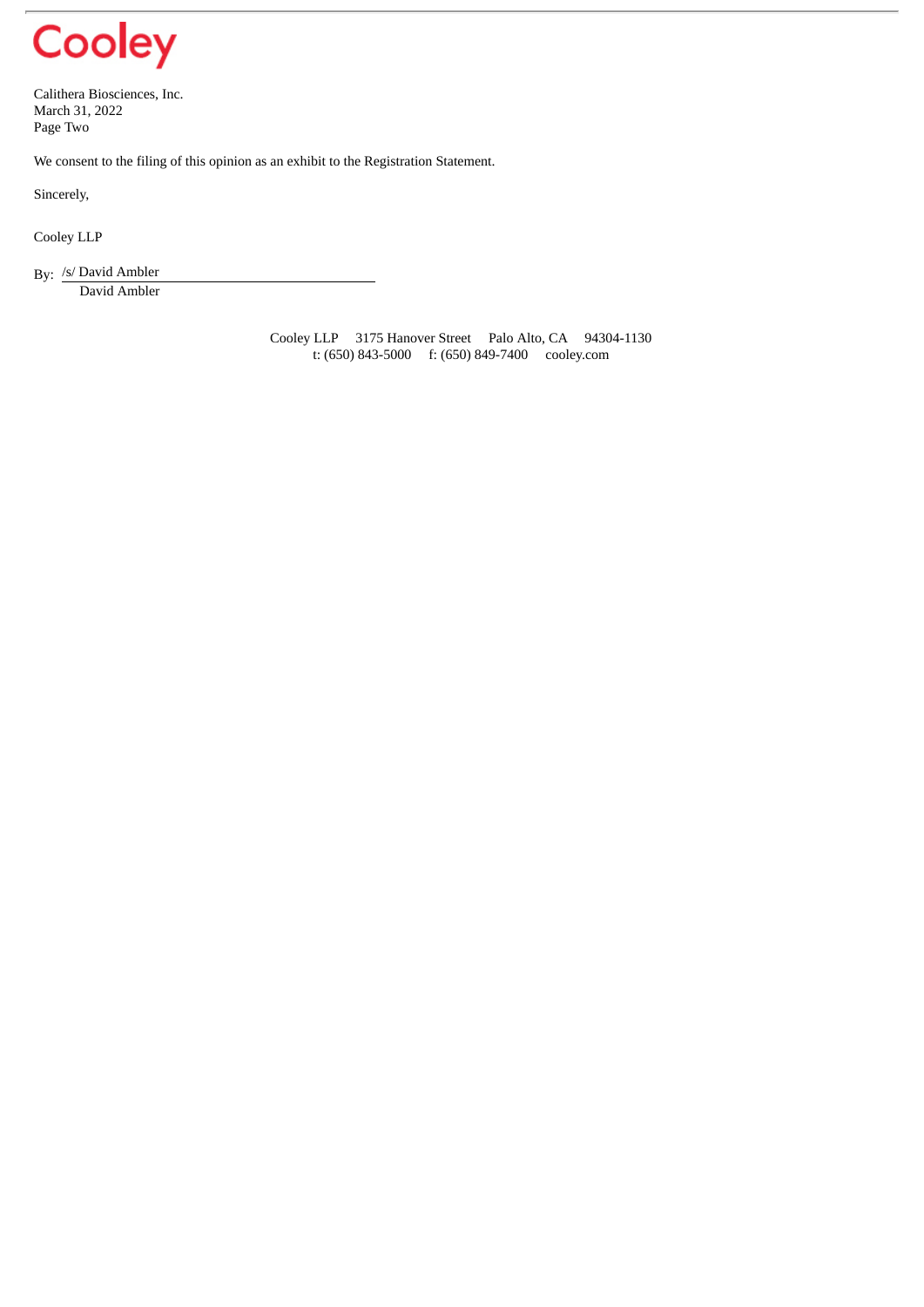

Calithera Biosciences, Inc. March 31, 2022 Page Two

We consent to the filing of this opinion as an exhibit to the Registration Statement.

Sincerely,

Cooley LLP

By: /s/ David Ambler David Ambler

> Cooley LLP 3175 Hanover Street Palo Alto, CA 94304-1130 t: (650) 843-5000 f: (650) 849-7400 cooley.com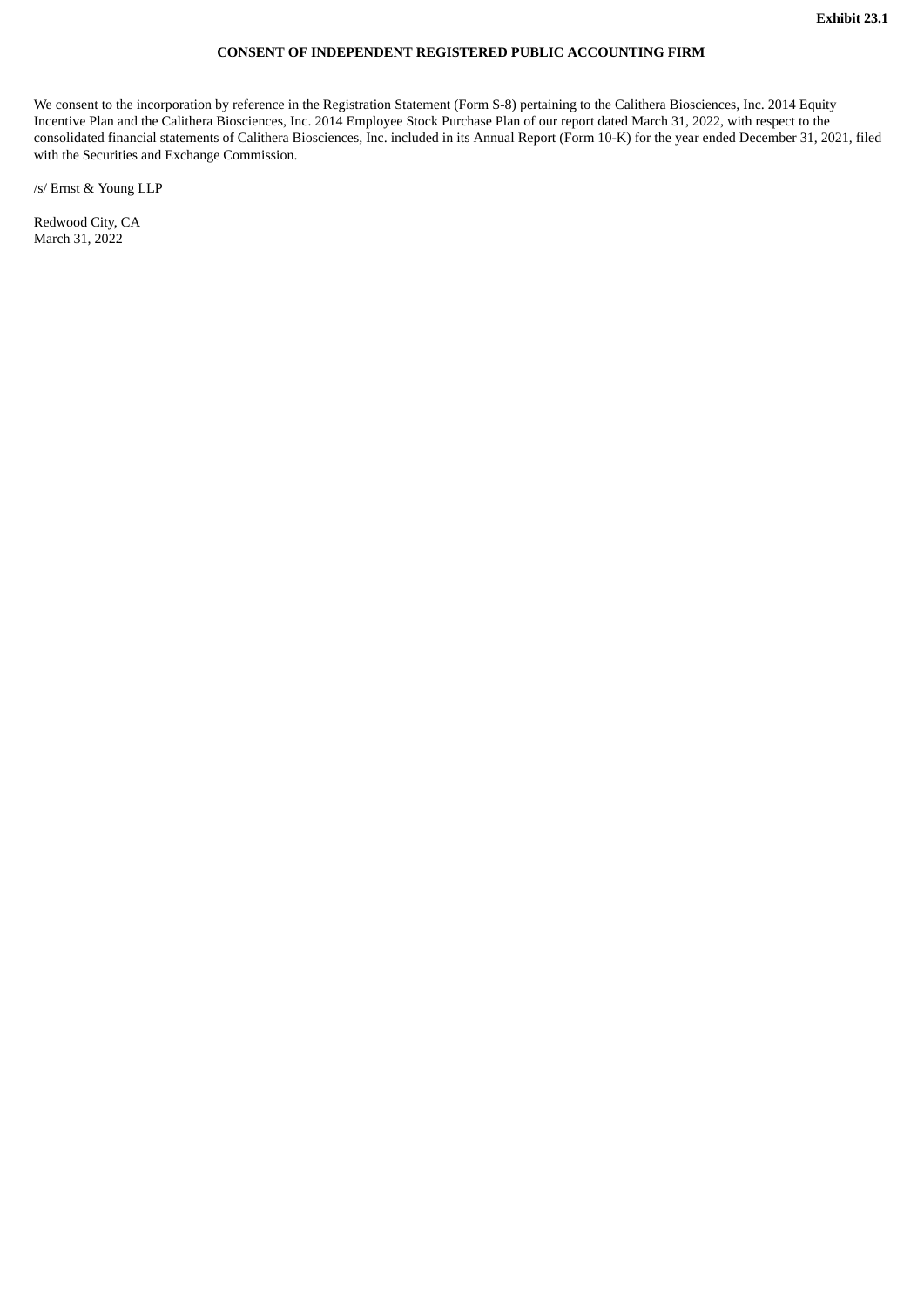## **CONSENT OF INDEPENDENT REGISTERED PUBLIC ACCOUNTING FIRM**

<span id="page-7-0"></span>We consent to the incorporation by reference in the Registration Statement (Form S-8) pertaining to the Calithera Biosciences, Inc. 2014 Equity Incentive Plan and the Calithera Biosciences, Inc. 2014 Employee Stock Purchase Plan of our report dated March 31, 2022, with respect to the consolidated financial statements of Calithera Biosciences, Inc. included in its Annual Report (Form 10-K) for the year ended December 31, 2021, filed with the Securities and Exchange Commission.

/s/ Ernst & Young LLP

Redwood City, CA March 31, 2022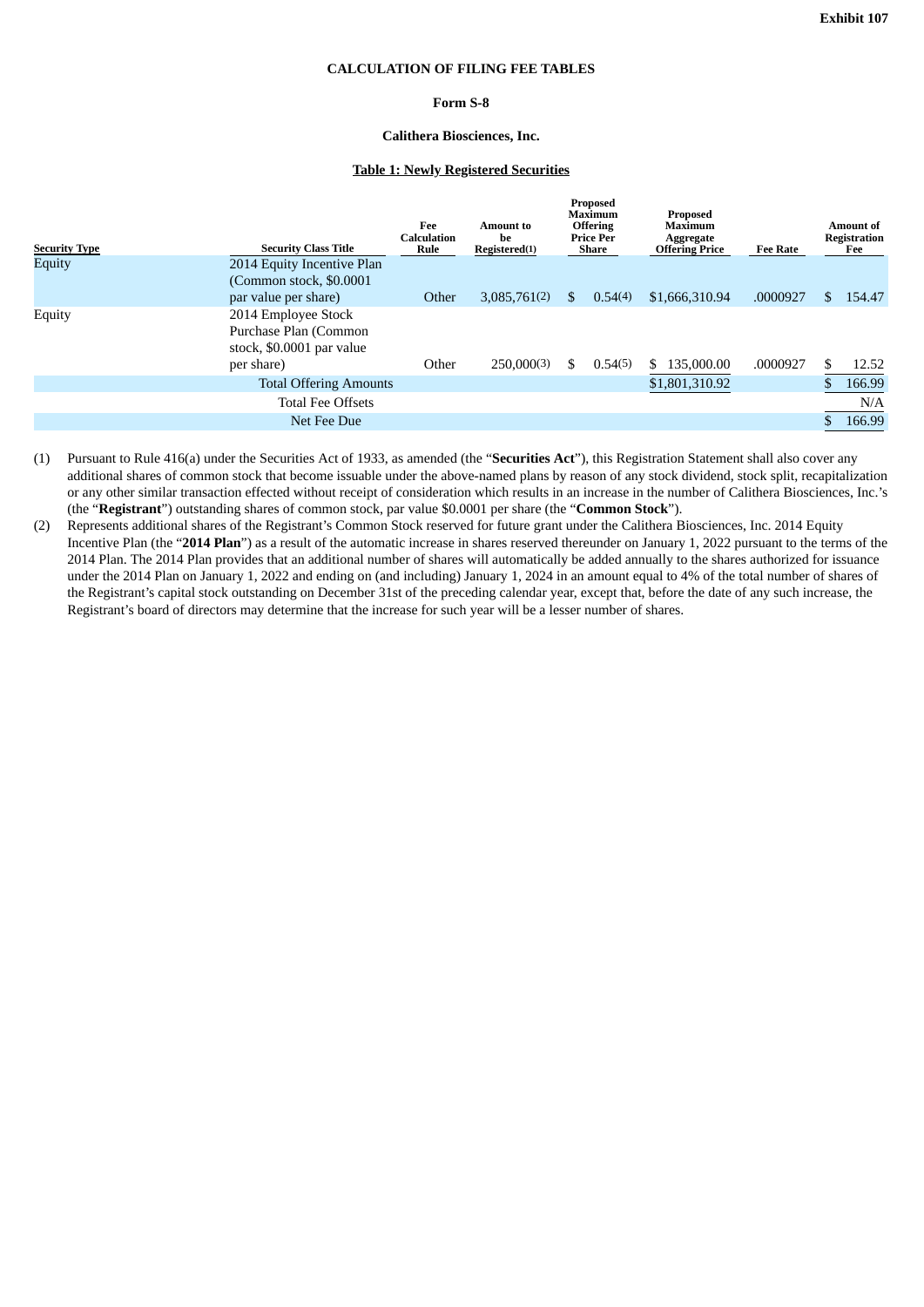#### **CALCULATION OF FILING FEE TABLES**

## **Form S-8**

## **Calithera Biosciences, Inc.**

## **Table 1: Newly Registered Securities**

<span id="page-8-0"></span>

| Equity<br>2014 Equity Incentive Plan<br>(Common stock, \$0.0001)<br>\$1,666,310.94<br>.0000927<br>Other<br>3,085,761(2)<br>154.47<br>par value per share)<br>0.54(4)<br>\$.<br>S.<br>2014 Employee Stock<br>Equity<br>Purchase Plan (Common<br>stock, \$0.0001 par value<br>250,000(3)<br>.0000927<br>Other<br>0.54(5)<br>135,000.00<br>12.52<br>per share)<br>S.<br>SS.<br>\$1,801,310.92<br>166.99<br><b>Total Offering Amounts</b><br><b>Total Fee Offsets</b><br>N/A<br>166.99<br>Net Fee Due | <b>Security Type</b> | <b>Security Class Title</b> | Fee<br><b>Calculation</b><br>Rule | Amount to<br>he<br>Registered(1) | Proposed<br>Maximum<br><b>Offering</b><br>Price Per<br>Share |  | Proposed<br>Maximum<br>Aggregate<br><b>Offering Price</b> | <b>Fee Rate</b> | Amount of<br><b>Registration</b><br>Fee |  |
|---------------------------------------------------------------------------------------------------------------------------------------------------------------------------------------------------------------------------------------------------------------------------------------------------------------------------------------------------------------------------------------------------------------------------------------------------------------------------------------------------|----------------------|-----------------------------|-----------------------------------|----------------------------------|--------------------------------------------------------------|--|-----------------------------------------------------------|-----------------|-----------------------------------------|--|
|                                                                                                                                                                                                                                                                                                                                                                                                                                                                                                   |                      |                             |                                   |                                  |                                                              |  |                                                           |                 |                                         |  |
|                                                                                                                                                                                                                                                                                                                                                                                                                                                                                                   |                      |                             |                                   |                                  |                                                              |  |                                                           |                 |                                         |  |
|                                                                                                                                                                                                                                                                                                                                                                                                                                                                                                   |                      |                             |                                   |                                  |                                                              |  |                                                           |                 |                                         |  |
|                                                                                                                                                                                                                                                                                                                                                                                                                                                                                                   |                      |                             |                                   |                                  |                                                              |  |                                                           |                 |                                         |  |
|                                                                                                                                                                                                                                                                                                                                                                                                                                                                                                   |                      |                             |                                   |                                  |                                                              |  |                                                           |                 |                                         |  |
|                                                                                                                                                                                                                                                                                                                                                                                                                                                                                                   |                      |                             |                                   |                                  |                                                              |  |                                                           |                 |                                         |  |

(1) Pursuant to Rule 416(a) under the Securities Act of 1933, as amended (the "**Securities Act**"), this Registration Statement shall also cover any additional shares of common stock that become issuable under the above-named plans by reason of any stock dividend, stock split, recapitalization or any other similar transaction effected without receipt of consideration which results in an increase in the number of Calithera Biosciences, Inc.'s (the "**Registrant**") outstanding shares of common stock, par value \$0.0001 per share (the "**Common Stock**").

(2) Represents additional shares of the Registrant's Common Stock reserved for future grant under the Calithera Biosciences, Inc. 2014 Equity Incentive Plan (the "**2014 Plan**") as a result of the automatic increase in shares reserved thereunder on January 1, 2022 pursuant to the terms of the 2014 Plan. The 2014 Plan provides that an additional number of shares will automatically be added annually to the shares authorized for issuance under the 2014 Plan on January 1, 2022 and ending on (and including) January 1, 2024 in an amount equal to 4% of the total number of shares of the Registrant's capital stock outstanding on December 31st of the preceding calendar year, except that, before the date of any such increase, the Registrant's board of directors may determine that the increase for such year will be a lesser number of shares.